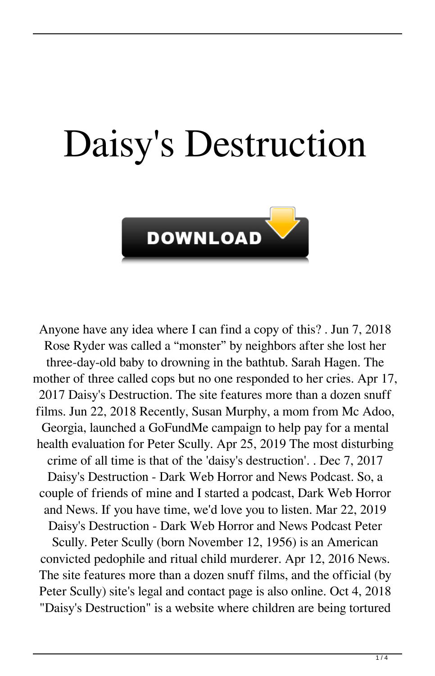## Daisy's Destruction



Anyone have any idea where I can find a copy of this? . Jun 7, 2018 Rose Ryder was called a "monster" by neighbors after she lost her three-day-old baby to drowning in the bathtub. Sarah Hagen. The mother of three called cops but no one responded to her cries. Apr 17, 2017 Daisy's Destruction. The site features more than a dozen snuff films. Jun 22, 2018 Recently, Susan Murphy, a mom from Mc Adoo, Georgia, launched a GoFundMe campaign to help pay for a mental health evaluation for Peter Scully. Apr 25, 2019 The most disturbing crime of all time is that of the 'daisy's destruction'. . Dec 7, 2017 Daisy's Destruction - Dark Web Horror and News Podcast. So, a couple of friends of mine and I started a podcast, Dark Web Horror and News. If you have time, we'd love you to listen. Mar 22, 2019 Daisy's Destruction - Dark Web Horror and News Podcast Peter Scully. Peter Scully (born November 12, 1956) is an American convicted pedophile and ritual child murderer. Apr 12, 2016 News. The site features more than a dozen snuff films, and the official (by Peter Scully) site's legal and contact page is also online. Oct 4, 2018 "Daisy's Destruction" is a website where children are being tortured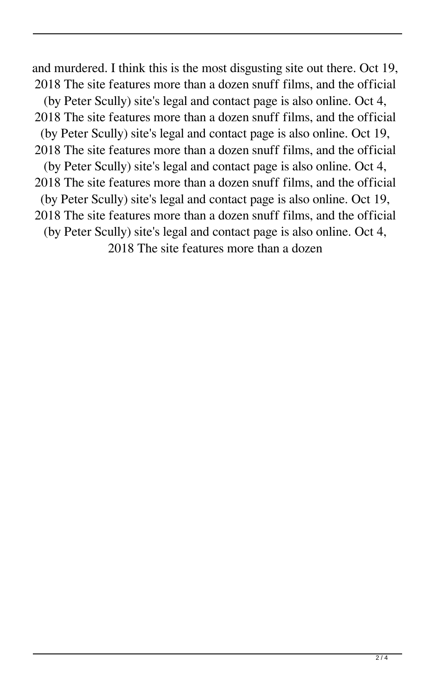and murdered. I think this is the most disgusting site out there. Oct 19, 2018 The site features more than a dozen snuff films, and the official (by Peter Scully) site's legal and contact page is also online. Oct 4, 2018 The site features more than a dozen snuff films, and the official (by Peter Scully) site's legal and contact page is also online. Oct 19, 2018 The site features more than a dozen snuff films, and the official (by Peter Scully) site's legal and contact page is also online. Oct 4, 2018 The site features more than a dozen snuff films, and the official (by Peter Scully) site's legal and contact page is also online. Oct 19, 2018 The site features more than a dozen snuff films, and the official (by Peter Scully) site's legal and contact page is also online. Oct 4, 2018 The site features more than a dozen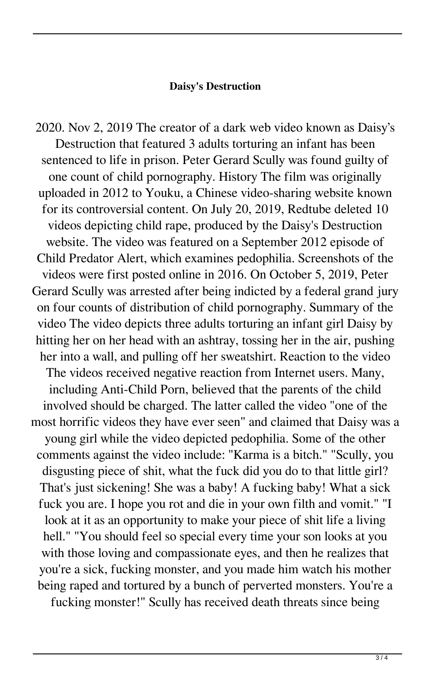## **Daisy's Destruction**

2020. Nov 2, 2019 The creator of a dark web video known as Daisy's Destruction that featured 3 adults torturing an infant has been sentenced to life in prison. Peter Gerard Scully was found guilty of one count of child pornography. History The film was originally uploaded in 2012 to Youku, a Chinese video-sharing website known for its controversial content. On July 20, 2019, Redtube deleted 10 videos depicting child rape, produced by the Daisy's Destruction website. The video was featured on a September 2012 episode of Child Predator Alert, which examines pedophilia. Screenshots of the videos were first posted online in 2016. On October 5, 2019, Peter Gerard Scully was arrested after being indicted by a federal grand jury on four counts of distribution of child pornography. Summary of the video The video depicts three adults torturing an infant girl Daisy by hitting her on her head with an ashtray, tossing her in the air, pushing her into a wall, and pulling off her sweatshirt. Reaction to the video The videos received negative reaction from Internet users. Many, including Anti-Child Porn, believed that the parents of the child involved should be charged. The latter called the video "one of the most horrific videos they have ever seen" and claimed that Daisy was a young girl while the video depicted pedophilia. Some of the other comments against the video include: "Karma is a bitch." "Scully, you disgusting piece of shit, what the fuck did you do to that little girl? That's just sickening! She was a baby! A fucking baby! What a sick fuck you are. I hope you rot and die in your own filth and vomit." "I look at it as an opportunity to make your piece of shit life a living hell." "You should feel so special every time your son looks at you with those loving and compassionate eyes, and then he realizes that you're a sick, fucking monster, and you made him watch his mother being raped and tortured by a bunch of perverted monsters. You're a fucking monster!" Scully has received death threats since being